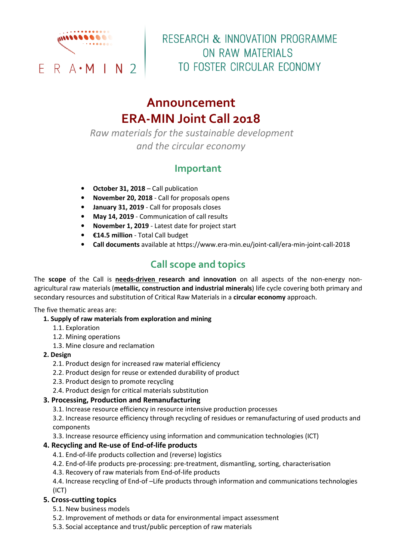

# RESEARCH & INNOVATION PROGRAMME ON RAW MATERIALS TO FOSTER CIRCULAR ECONOMY

# **Announcement ERA-MIN Joint Call 2018**

*Raw materials for the sustainable development and the circular economy* 

### **Important**

- **October 31, 2018** Call publication
- **November 20, 2018**  Call for proposals opens
- **January 31, 2019** Call for proposals closes
- **May 14, 2019**  Communication of call results
- **November 1, 2019** Latest date for project start
- **€14.5 million**  Total Call budget
- **Call documents** available at https://www.era-min.eu/joint-call/era-min-joint-call-2018

### **Call scope and topics**

The **scope** of the Call is **needs-driven research and innovation** on all aspects of the non-energy nonagricultural raw materials (**metallic, construction and industrial minerals**) life cycle covering both primary and secondary resources and substitution of Critical Raw Materials in a **circular economy** approach.

The five thematic areas are:

- **1. Supply of raw materials from exploration and mining** 
	- 1.1. Exploration
	- 1.2. Mining operations
	- 1.3. Mine closure and reclamation
- **2. Design** 
	- 2.1. Product design for increased raw material efficiency
	- 2.2. Product design for reuse or extended durability of product
	- 2.3. Product design to promote recycling
	- 2.4. Product design for critical materials substitution

#### **3. Processing, Production and Remanufacturing**

3.1. Increase resource efficiency in resource intensive production processes

3.2. Increase resource efficiency through recycling of residues or remanufacturing of used products and components

3.3. Increase resource efficiency using information and communication technologies (ICT)

#### **4. Recycling and Re-use of End-of-life products**

- 4.1. End-of-life products collection and (reverse) logistics
- 4.2. End-of-life products pre-processing: pre-treatment, dismantling, sorting, characterisation
- 4.3. Recovery of raw materials from End-of-life products

4.4. Increase recycling of End-of –Life products through information and communications technologies (ICT)

#### **5. Cross-cutting topics**

- 5.1. New business models
- 5.2. Improvement of methods or data for environmental impact assessment
- 5.3. Social acceptance and trust/public perception of raw materials